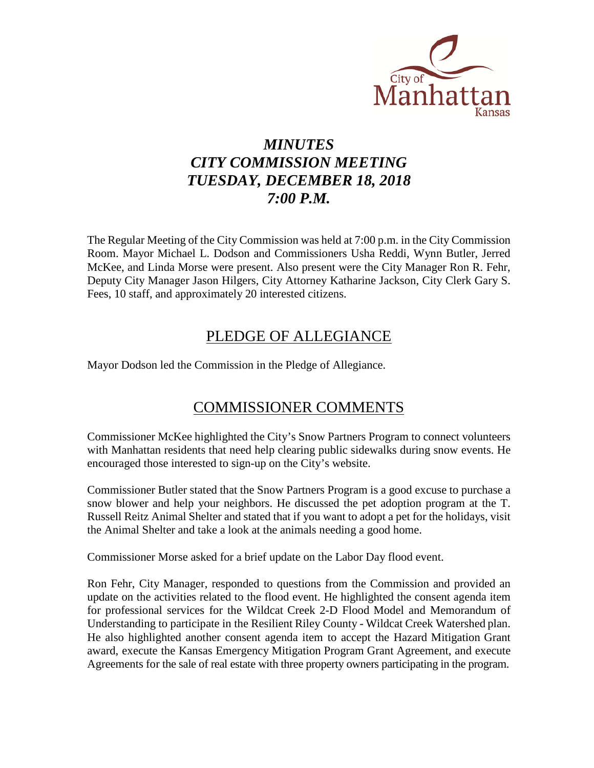

# *MINUTES CITY COMMISSION MEETING TUESDAY, DECEMBER 18, 2018 7:00 P.M.*

The Regular Meeting of the City Commission was held at 7:00 p.m. in the City Commission Room. Mayor Michael L. Dodson and Commissioners Usha Reddi, Wynn Butler, Jerred McKee, and Linda Morse were present. Also present were the City Manager Ron R. Fehr, Deputy City Manager Jason Hilgers, City Attorney Katharine Jackson, City Clerk Gary S. Fees, 10 staff, and approximately 20 interested citizens.

# PLEDGE OF ALLEGIANCE

Mayor Dodson led the Commission in the Pledge of Allegiance.

# COMMISSIONER COMMENTS

Commissioner McKee highlighted the City's Snow Partners Program to connect volunteers with Manhattan residents that need help clearing public sidewalks during snow events. He encouraged those interested to sign-up on the City's website.

Commissioner Butler stated that the Snow Partners Program is a good excuse to purchase a snow blower and help your neighbors. He discussed the pet adoption program at the T. Russell Reitz Animal Shelter and stated that if you want to adopt a pet for the holidays, visit the Animal Shelter and take a look at the animals needing a good home.

Commissioner Morse asked for a brief update on the Labor Day flood event.

Ron Fehr, City Manager, responded to questions from the Commission and provided an update on the activities related to the flood event. He highlighted the consent agenda item for professional services for the Wildcat Creek 2-D Flood Model and Memorandum of Understanding to participate in the Resilient Riley County - Wildcat Creek Watershed plan. He also highlighted another consent agenda item to accept the Hazard Mitigation Grant award, execute the Kansas Emergency Mitigation Program Grant Agreement, and execute Agreements for the sale of real estate with three property owners participating in the program.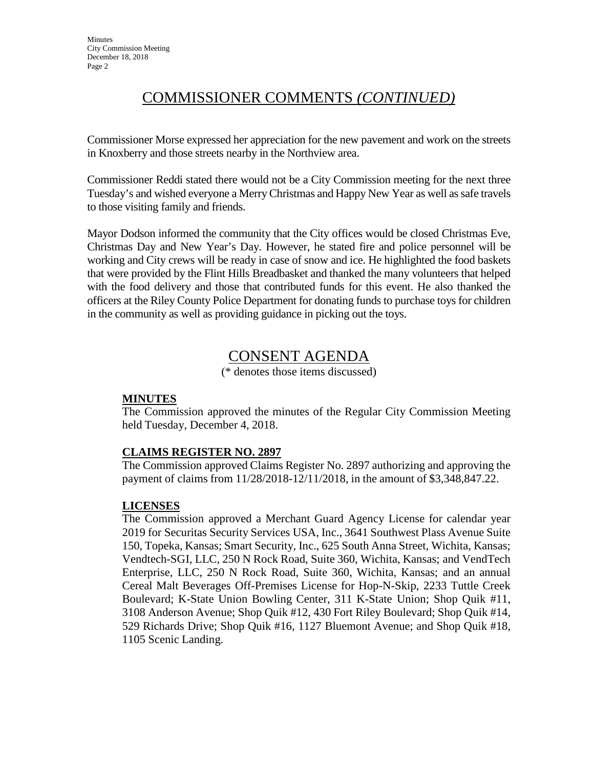# COMMISSIONER COMMENTS *(CONTINUED)*

Commissioner Morse expressed her appreciation for the new pavement and work on the streets in Knoxberry and those streets nearby in the Northview area.

Commissioner Reddi stated there would not be a City Commission meeting for the next three Tuesday's and wished everyone a Merry Christmas and Happy New Year as well as safe travels to those visiting family and friends.

Mayor Dodson informed the community that the City offices would be closed Christmas Eve, Christmas Day and New Year's Day. However, he stated fire and police personnel will be working and City crews will be ready in case of snow and ice. He highlighted the food baskets that were provided by the Flint Hills Breadbasket and thanked the many volunteers that helped with the food delivery and those that contributed funds for this event. He also thanked the officers at the Riley County Police Department for donating funds to purchase toys for children in the community as well as providing guidance in picking out the toys.

# CONSENT AGENDA

(\* denotes those items discussed)

# **MINUTES**

The Commission approved the minutes of the Regular City Commission Meeting held Tuesday, December 4, 2018.

# **CLAIMS REGISTER NO. 2897**

The Commission approved Claims Register No. 2897 authorizing and approving the payment of claims from 11/28/2018-12/11/2018, in the amount of \$3,348,847.22.

# **LICENSES**

The Commission approved a Merchant Guard Agency License for calendar year 2019 for Securitas Security Services USA, Inc., 3641 Southwest Plass Avenue Suite 150, Topeka, Kansas; Smart Security, Inc., 625 South Anna Street, Wichita, Kansas; Vendtech-SGI, LLC, 250 N Rock Road, Suite 360, Wichita, Kansas; and VendTech Enterprise, LLC, 250 N Rock Road, Suite 360, Wichita, Kansas; and an annual Cereal Malt Beverages Off-Premises License for Hop-N-Skip, 2233 Tuttle Creek Boulevard; K-State Union Bowling Center, 311 K-State Union; Shop Quik #11, 3108 Anderson Avenue; Shop Quik #12, 430 Fort Riley Boulevard; Shop Quik #14, 529 Richards Drive; Shop Quik #16, 1127 Bluemont Avenue; and Shop Quik #18, 1105 Scenic Landing.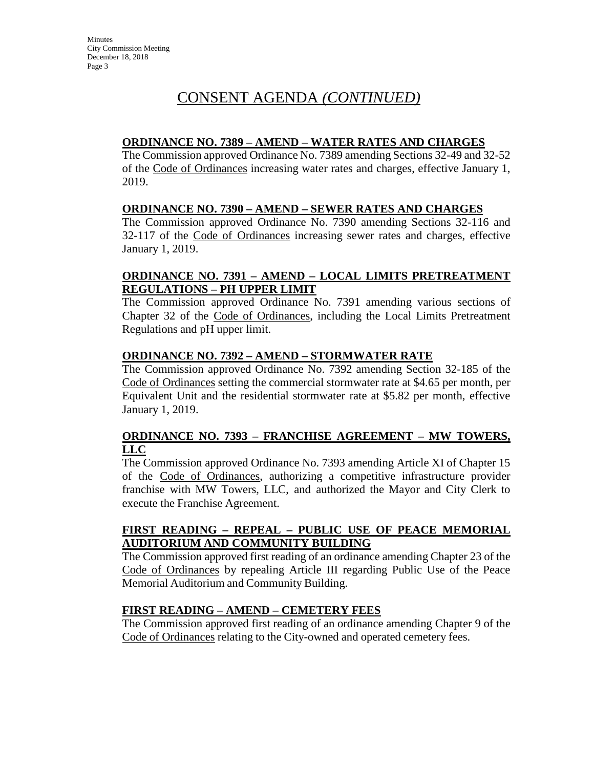### **ORDINANCE NO. 7389 – AMEND – WATER RATES AND CHARGES**

The Commission approved Ordinance No. 7389 amending Sections 32-49 and 32-52 of the Code of Ordinances increasing water rates and charges, effective January 1, 2019.

# **ORDINANCE NO. 7390 – AMEND – SEWER RATES AND CHARGES**

The Commission approved Ordinance No. 7390 amending Sections 32-116 and 32-117 of the Code of Ordinances increasing sewer rates and charges, effective January 1, 2019.

# **ORDINANCE NO. 7391 – AMEND – LOCAL LIMITS PRETREATMENT REGULATIONS – PH UPPER LIMIT**

The Commission approved Ordinance No. 7391 amending various sections of Chapter 32 of the Code of Ordinances, including the Local Limits Pretreatment Regulations and pH upper limit.

#### **ORDINANCE NO. 7392 – AMEND – STORMWATER RATE**

The Commission approved Ordinance No. 7392 amending Section 32-185 of the Code of Ordinances setting the commercial stormwater rate at \$4.65 per month, per Equivalent Unit and the residential stormwater rate at \$5.82 per month, effective January 1, 2019.

# **ORDINANCE NO. 7393 – FRANCHISE AGREEMENT – MW TOWERS, LLC**

The Commission approved Ordinance No. 7393 amending Article XI of Chapter 15 of the Code of Ordinances, authorizing a competitive infrastructure provider franchise with MW Towers, LLC, and authorized the Mayor and City Clerk to execute the Franchise Agreement.

# **FIRST READING – REPEAL – PUBLIC USE OF PEACE MEMORIAL AUDITORIUM AND COMMUNITY BUILDING**

The Commission approved first reading of an ordinance amending Chapter 23 of the Code of Ordinances by repealing Article III regarding Public Use of the Peace Memorial Auditorium and Community Building.

# **FIRST READING – AMEND – CEMETERY FEES**

The Commission approved first reading of an ordinance amending Chapter 9 of the Code of Ordinances relating to the City-owned and operated cemetery fees.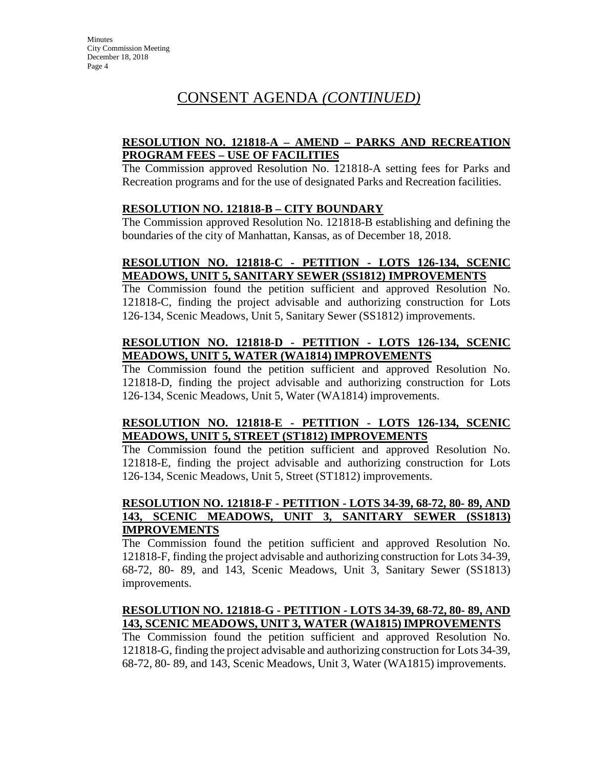# **RESOLUTION NO. 121818-A – AMEND – PARKS AND RECREATION PROGRAM FEES – USE OF FACILITIES**

The Commission approved Resolution No. 121818-A setting fees for Parks and Recreation programs and for the use of designated Parks and Recreation facilities.

#### **RESOLUTION NO. 121818-B – CITY BOUNDARY**

The Commission approved Resolution No. 121818-B establishing and defining the boundaries of the city of Manhattan, Kansas, as of December 18, 2018.

# **RESOLUTION NO. 121818-C - PETITION - LOTS 126-134, SCENIC MEADOWS, UNIT 5, SANITARY SEWER (SS1812) IMPROVEMENTS**

The Commission found the petition sufficient and approved Resolution No. 121818-C, finding the project advisable and authorizing construction for Lots 126-134, Scenic Meadows, Unit 5, Sanitary Sewer (SS1812) improvements.

#### **RESOLUTION NO. 121818-D - PETITION - LOTS 126-134, SCENIC MEADOWS, UNIT 5, WATER (WA1814) IMPROVEMENTS**

The Commission found the petition sufficient and approved Resolution No. 121818-D, finding the project advisable and authorizing construction for Lots 126-134, Scenic Meadows, Unit 5, Water (WA1814) improvements.

#### **RESOLUTION NO. 121818-E - PETITION - LOTS 126-134, SCENIC MEADOWS, UNIT 5, STREET (ST1812) IMPROVEMENTS**

The Commission found the petition sufficient and approved Resolution No. 121818-E, finding the project advisable and authorizing construction for Lots 126-134, Scenic Meadows, Unit 5, Street (ST1812) improvements.

#### **RESOLUTION NO. 121818-F - PETITION - LOTS 34-39, 68-72, 80- 89, AND 143, SCENIC MEADOWS, UNIT 3, SANITARY SEWER (SS1813) IMPROVEMENTS**

The Commission found the petition sufficient and approved Resolution No. 121818-F, finding the project advisable and authorizing construction for Lots 34-39, 68-72, 80- 89, and 143, Scenic Meadows, Unit 3, Sanitary Sewer (SS1813) improvements.

# **RESOLUTION NO. 121818-G - PETITION - LOTS 34-39, 68-72, 80- 89, AND 143, SCENIC MEADOWS, UNIT 3, WATER (WA1815) IMPROVEMENTS**

The Commission found the petition sufficient and approved Resolution No. 121818-G, finding the project advisable and authorizing construction for Lots 34-39, 68-72, 80- 89, and 143, Scenic Meadows, Unit 3, Water (WA1815) improvements.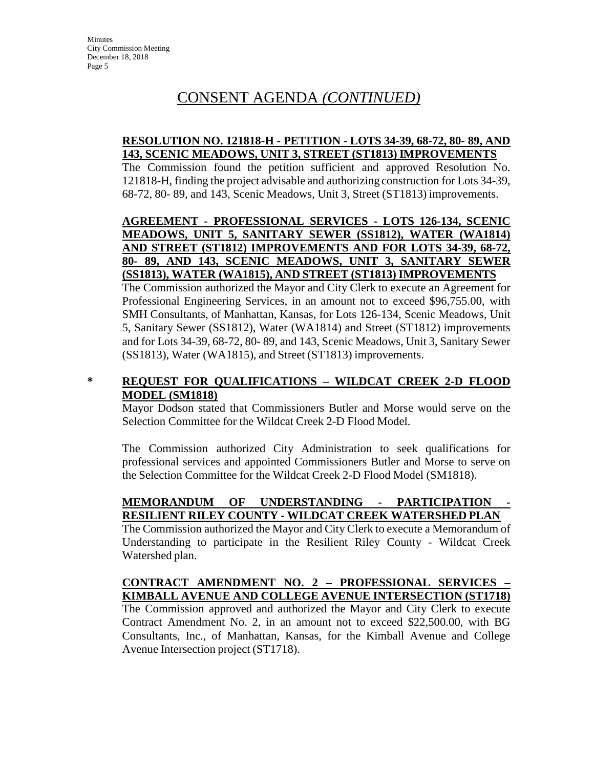# **RESOLUTION NO. 121818-H - PETITION - LOTS 34-39, 68-72, 80- 89, AND 143, SCENIC MEADOWS, UNIT 3, STREET (ST1813) IMPROVEMENTS**

The Commission found the petition sufficient and approved Resolution No. 121818-H, finding the project advisable and authorizing construction for Lots 34-39, 68-72, 80- 89, and 143, Scenic Meadows, Unit 3, Street (ST1813) improvements.

# **AGREEMENT - PROFESSIONAL SERVICES - LOTS 126-134, SCENIC MEADOWS, UNIT 5, SANITARY SEWER (SS1812), WATER (WA1814) AND STREET (ST1812) IMPROVEMENTS AND FOR LOTS 34-39, 68-72, 80- 89, AND 143, SCENIC MEADOWS, UNIT 3, SANITARY SEWER (SS1813), WATER (WA1815), AND STREET (ST1813) IMPROVEMENTS**

The Commission authorized the Mayor and City Clerk to execute an Agreement for Professional Engineering Services, in an amount not to exceed \$96,755.00, with SMH Consultants, of Manhattan, Kansas, for Lots 126-134, Scenic Meadows, Unit 5, Sanitary Sewer (SS1812), Water (WA1814) and Street (ST1812) improvements and for Lots 34-39, 68-72, 80- 89, and 143, Scenic Meadows, Unit 3, Sanitary Sewer (SS1813), Water (WA1815), and Street (ST1813) improvements.

# **\* REQUEST FOR QUALIFICATIONS – WILDCAT CREEK 2-D FLOOD MODEL (SM1818)**

Mayor Dodson stated that Commissioners Butler and Morse would serve on the Selection Committee for the Wildcat Creek 2-D Flood Model.

The Commission authorized City Administration to seek qualifications for professional services and appointed Commissioners Butler and Morse to serve on the Selection Committee for the Wildcat Creek 2-D Flood Model (SM1818).

# **MEMORANDUM OF UNDERSTANDING - PARTICIPATION - RESILIENT RILEY COUNTY - WILDCAT CREEK WATERSHED PLAN**

The Commission authorized the Mayor and City Clerk to execute a Memorandum of Understanding to participate in the Resilient Riley County - Wildcat Creek Watershed plan.

# **CONTRACT AMENDMENT NO. 2 – PROFESSIONAL SERVICES – KIMBALL AVENUE AND COLLEGE AVENUE INTERSECTION (ST1718)**

The Commission approved and authorized the Mayor and City Clerk to execute Contract Amendment No. 2, in an amount not to exceed \$22,500.00, with BG Consultants, Inc., of Manhattan, Kansas, for the Kimball Avenue and College Avenue Intersection project (ST1718).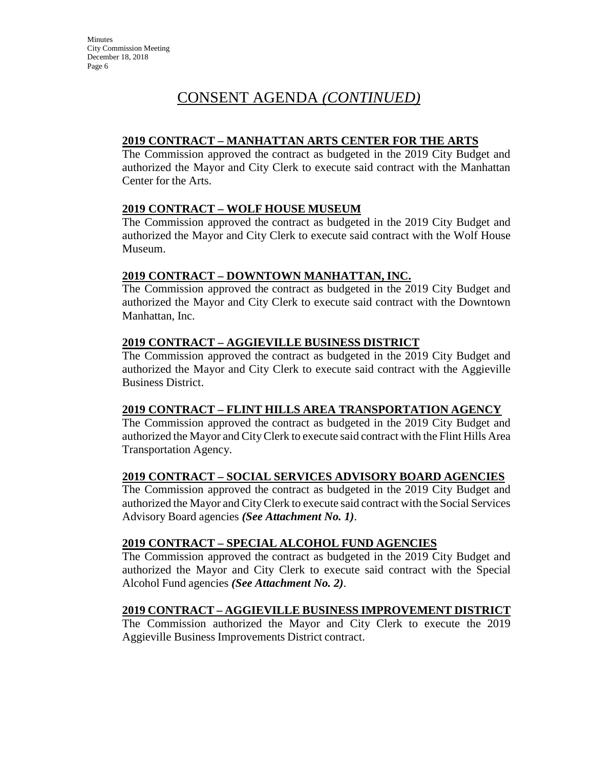# **2019 CONTRACT – MANHATTAN ARTS CENTER FOR THE ARTS**

The Commission approved the contract as budgeted in the 2019 City Budget and authorized the Mayor and City Clerk to execute said contract with the Manhattan Center for the Arts.

# **2019 CONTRACT – WOLF HOUSE MUSEUM**

The Commission approved the contract as budgeted in the 2019 City Budget and authorized the Mayor and City Clerk to execute said contract with the Wolf House Museum.

# **2019 CONTRACT – DOWNTOWN MANHATTAN, INC.**

The Commission approved the contract as budgeted in the 2019 City Budget and authorized the Mayor and City Clerk to execute said contract with the Downtown Manhattan, Inc.

# **2019 CONTRACT – AGGIEVILLE BUSINESS DISTRICT**

The Commission approved the contract as budgeted in the 2019 City Budget and authorized the Mayor and City Clerk to execute said contract with the Aggieville Business District.

# **2019 CONTRACT – FLINT HILLS AREA TRANSPORTATION AGENCY**

The Commission approved the contract as budgeted in the 2019 City Budget and authorized the Mayor and CityClerk to execute said contract with the Flint Hills Area Transportation Agency.

# **2019 CONTRACT – SOCIAL SERVICES ADVISORY BOARD AGENCIES**

The Commission approved the contract as budgeted in the 2019 City Budget and authorized the Mayor and CityClerk to execute said contract with the Social Services Advisory Board agencies *(See Attachment No. 1)*.

# **2019 CONTRACT – SPECIAL ALCOHOL FUND AGENCIES**

The Commission approved the contract as budgeted in the 2019 City Budget and authorized the Mayor and City Clerk to execute said contract with the Special Alcohol Fund agencies *(See Attachment No. 2)*.

# **2019 CONTRACT – AGGIEVILLE BUSINESS IMPROVEMENT DISTRICT**

The Commission authorized the Mayor and City Clerk to execute the 2019 Aggieville Business Improvements District contract.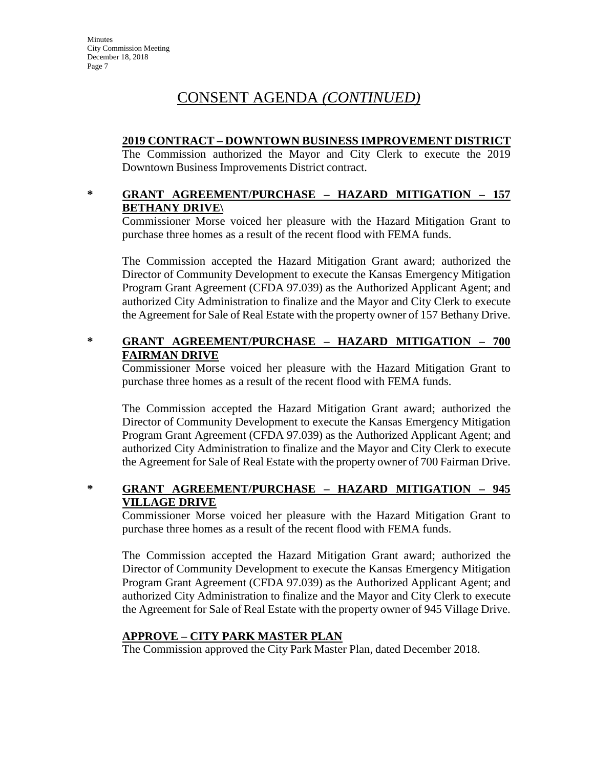# **2019 CONTRACT – DOWNTOWN BUSINESS IMPROVEMENT DISTRICT**

The Commission authorized the Mayor and City Clerk to execute the 2019 Downtown Business Improvements District contract.

# **\* GRANT AGREEMENT/PURCHASE – HAZARD MITIGATION – 157 BETHANY DRIVE\**

Commissioner Morse voiced her pleasure with the Hazard Mitigation Grant to purchase three homes as a result of the recent flood with FEMA funds.

The Commission accepted the Hazard Mitigation Grant award; authorized the Director of Community Development to execute the Kansas Emergency Mitigation Program Grant Agreement (CFDA 97.039) as the Authorized Applicant Agent; and authorized City Administration to finalize and the Mayor and City Clerk to execute the Agreement for Sale of Real Estate with the property owner of 157 Bethany Drive.

# **\* GRANT AGREEMENT/PURCHASE – HAZARD MITIGATION – 700 FAIRMAN DRIVE**

Commissioner Morse voiced her pleasure with the Hazard Mitigation Grant to purchase three homes as a result of the recent flood with FEMA funds.

The Commission accepted the Hazard Mitigation Grant award; authorized the Director of Community Development to execute the Kansas Emergency Mitigation Program Grant Agreement (CFDA 97.039) as the Authorized Applicant Agent; and authorized City Administration to finalize and the Mayor and City Clerk to execute the Agreement for Sale of Real Estate with the property owner of 700 Fairman Drive.

# **\* GRANT AGREEMENT/PURCHASE – HAZARD MITIGATION – 945 VILLAGE DRIVE**

Commissioner Morse voiced her pleasure with the Hazard Mitigation Grant to purchase three homes as a result of the recent flood with FEMA funds.

The Commission accepted the Hazard Mitigation Grant award; authorized the Director of Community Development to execute the Kansas Emergency Mitigation Program Grant Agreement (CFDA 97.039) as the Authorized Applicant Agent; and authorized City Administration to finalize and the Mayor and City Clerk to execute the Agreement for Sale of Real Estate with the property owner of 945 Village Drive.

# **APPROVE – CITY PARK MASTER PLAN**

The Commission approved the City Park Master Plan, dated December 2018.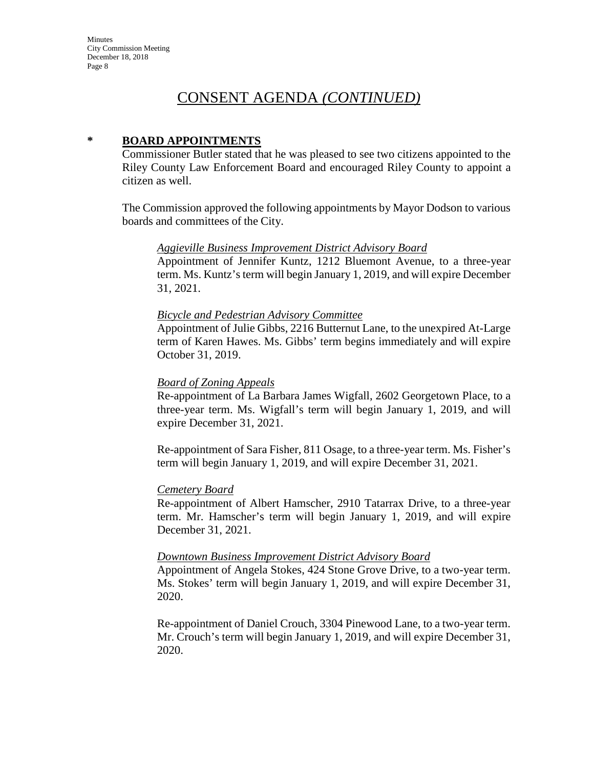#### **\* BOARD APPOINTMENTS**

Commissioner Butler stated that he was pleased to see two citizens appointed to the Riley County Law Enforcement Board and encouraged Riley County to appoint a citizen as well.

The Commission approved the following appointments by Mayor Dodson to various boards and committees of the City.

#### *Aggieville Business Improvement District Advisory Board*

Appointment of Jennifer Kuntz, 1212 Bluemont Avenue, to a three-year term. Ms. Kuntz's term will begin January 1, 2019, and will expire December 31, 2021.

#### *Bicycle and Pedestrian Advisory Committee*

Appointment of Julie Gibbs, 2216 Butternut Lane, to the unexpired At-Large term of Karen Hawes. Ms. Gibbs' term begins immediately and will expire October 31, 2019.

#### *Board of Zoning Appeals*

Re-appointment of La Barbara James Wigfall, 2602 Georgetown Place, to a three-year term. Ms. Wigfall's term will begin January 1, 2019, and will expire December 31, 2021.

Re-appointment of Sara Fisher, 811 Osage, to a three-year term. Ms. Fisher's term will begin January 1, 2019, and will expire December 31, 2021.

#### *Cemetery Board*

Re-appointment of Albert Hamscher, 2910 Tatarrax Drive, to a three-year term. Mr. Hamscher's term will begin January 1, 2019, and will expire December 31, 2021.

#### *Downtown Business Improvement District Advisory Board*

Appointment of Angela Stokes, 424 Stone Grove Drive, to a two-year term. Ms. Stokes' term will begin January 1, 2019, and will expire December 31, 2020.

Re-appointment of Daniel Crouch, 3304 Pinewood Lane, to a two-year term. Mr. Crouch's term will begin January 1, 2019, and will expire December 31, 2020.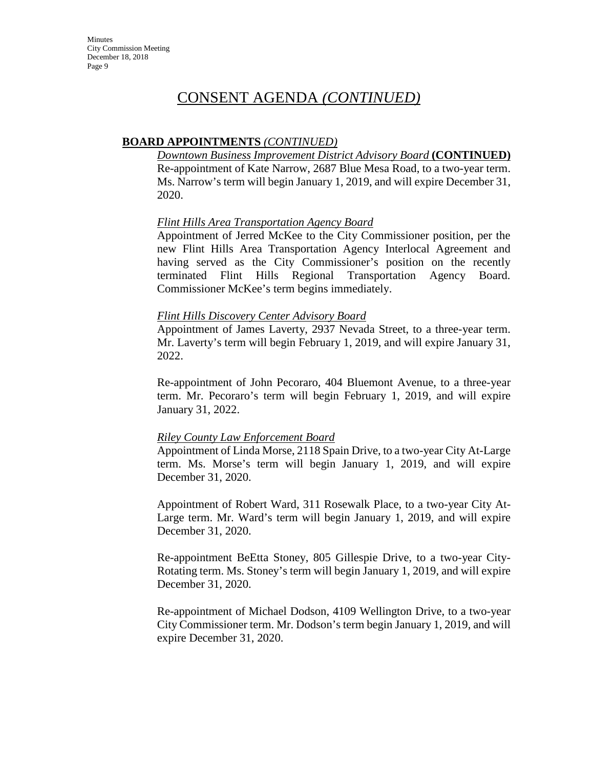# **BOARD APPOINTMENTS** *(CONTINUED)*

*Downtown Business Improvement District Advisory Board* **(CONTINUED)** Re-appointment of Kate Narrow, 2687 Blue Mesa Road, to a two-year term. Ms. Narrow's term will begin January 1, 2019, and will expire December 31, 2020.

#### *Flint Hills Area Transportation Agency Board*

Appointment of Jerred McKee to the City Commissioner position, per the new Flint Hills Area Transportation Agency Interlocal Agreement and having served as the City Commissioner's position on the recently terminated Flint Hills Regional Transportation Agency Board. Commissioner McKee's term begins immediately.

#### *Flint Hills Discovery Center Advisory Board*

Appointment of James Laverty, 2937 Nevada Street, to a three-year term. Mr. Laverty's term will begin February 1, 2019, and will expire January 31, 2022.

Re-appointment of John Pecoraro, 404 Bluemont Avenue, to a three-year term. Mr. Pecoraro's term will begin February 1, 2019, and will expire January 31, 2022.

#### *Riley County Law Enforcement Board*

Appointment of Linda Morse, 2118 Spain Drive, to a two-year City At-Large term. Ms. Morse's term will begin January 1, 2019, and will expire December 31, 2020.

Appointment of Robert Ward, 311 Rosewalk Place, to a two-year City At-Large term. Mr. Ward's term will begin January 1, 2019, and will expire December 31, 2020.

Re-appointment BeEtta Stoney, 805 Gillespie Drive, to a two-year City-Rotating term. Ms. Stoney's term will begin January 1, 2019, and will expire December 31, 2020.

Re-appointment of Michael Dodson, 4109 Wellington Drive, to a two-year City Commissioner term. Mr. Dodson's term begin January 1, 2019, and will expire December 31, 2020.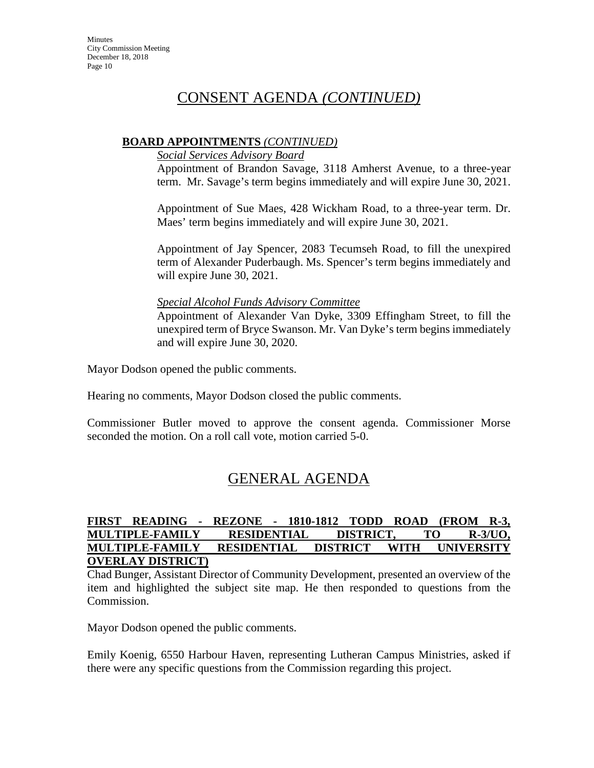### **BOARD APPOINTMENTS** *(CONTINUED)*

*Social Services Advisory Board*

Appointment of Brandon Savage, 3118 Amherst Avenue, to a three-year term. Mr. Savage's term begins immediately and will expire June 30, 2021.

Appointment of Sue Maes, 428 Wickham Road, to a three-year term. Dr. Maes' term begins immediately and will expire June 30, 2021.

Appointment of Jay Spencer, 2083 Tecumseh Road, to fill the unexpired term of Alexander Puderbaugh. Ms. Spencer's term begins immediately and will expire June 30, 2021.

#### *Special Alcohol Funds Advisory Committee*

Appointment of Alexander Van Dyke, 3309 Effingham Street, to fill the unexpired term of Bryce Swanson. Mr. Van Dyke's term begins immediately and will expire June 30, 2020.

Mayor Dodson opened the public comments.

Hearing no comments, Mayor Dodson closed the public comments.

Commissioner Butler moved to approve the consent agenda. Commissioner Morse seconded the motion. On a roll call vote, motion carried 5-0.

# GENERAL AGENDA

#### **FIRST READING - REZONE - 1810-1812 TODD ROAD (FROM R-3, MULTIPLE-FAMILY RESIDENTIAL DISTRICT, TO R-3/UO, MULTIPLE-FAMILY RESIDENTIAL DISTRICT WITH UNIVERSITY OVERLAY DISTRICT)**

Chad Bunger, Assistant Director of Community Development, presented an overview of the item and highlighted the subject site map. He then responded to questions from the Commission.

Mayor Dodson opened the public comments.

Emily Koenig, 6550 Harbour Haven, representing Lutheran Campus Ministries, asked if there were any specific questions from the Commission regarding this project.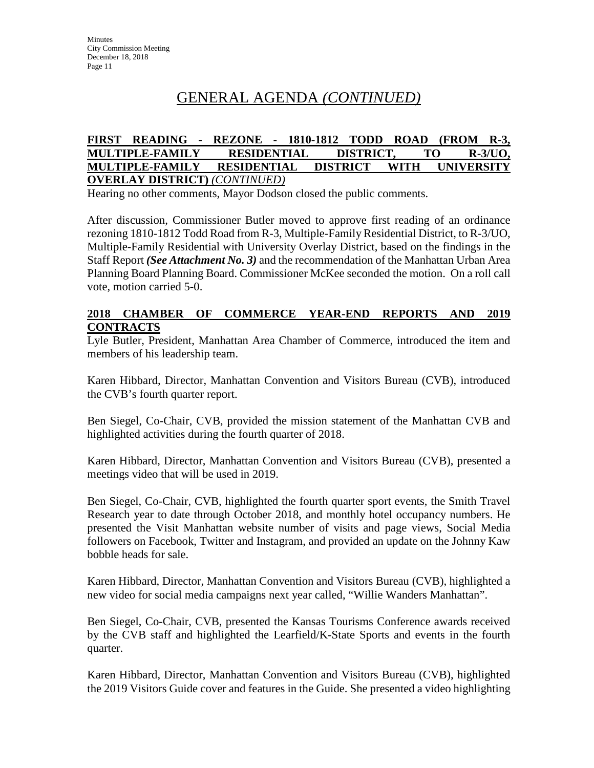#### **FIRST READING - REZONE - 1810-1812 TODD ROAD (FROM R-3, MULTIPLE-FAMILY RESIDENTIAL DISTRICT, TO R-3/UO, MULTIPLE-FAMILY RESIDENTIAL DISTRICT WITH UNIVERSITY OVERLAY DISTRICT)** *(CONTINUED)*

Hearing no other comments, Mayor Dodson closed the public comments.

After discussion, Commissioner Butler moved to approve first reading of an ordinance rezoning 1810-1812 Todd Road from R-3, Multiple-Family Residential District, to R-3/UO, Multiple-Family Residential with University Overlay District, based on the findings in the Staff Report *(See Attachment No. 3)* and the recommendation of the Manhattan Urban Area Planning Board Planning Board. Commissioner McKee seconded the motion. On a roll call vote, motion carried 5-0.

### **2018 CHAMBER OF COMMERCE YEAR-END REPORTS AND 2019 CONTRACTS**

Lyle Butler, President, Manhattan Area Chamber of Commerce, introduced the item and members of his leadership team.

Karen Hibbard, Director, Manhattan Convention and Visitors Bureau (CVB), introduced the CVB's fourth quarter report.

Ben Siegel, Co-Chair, CVB, provided the mission statement of the Manhattan CVB and highlighted activities during the fourth quarter of 2018.

Karen Hibbard, Director, Manhattan Convention and Visitors Bureau (CVB), presented a meetings video that will be used in 2019.

Ben Siegel, Co-Chair, CVB, highlighted the fourth quarter sport events, the Smith Travel Research year to date through October 2018, and monthly hotel occupancy numbers. He presented the Visit Manhattan website number of visits and page views, Social Media followers on Facebook, Twitter and Instagram, and provided an update on the Johnny Kaw bobble heads for sale.

Karen Hibbard, Director, Manhattan Convention and Visitors Bureau (CVB), highlighted a new video for social media campaigns next year called, "Willie Wanders Manhattan".

Ben Siegel, Co-Chair, CVB, presented the Kansas Tourisms Conference awards received by the CVB staff and highlighted the Learfield/K-State Sports and events in the fourth quarter.

Karen Hibbard, Director, Manhattan Convention and Visitors Bureau (CVB), highlighted the 2019 Visitors Guide cover and features in the Guide. She presented a video highlighting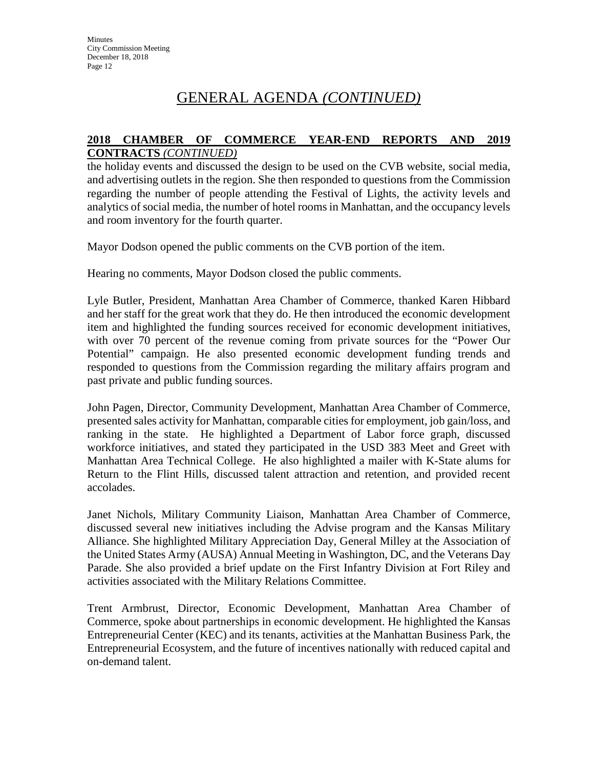#### **2018 CHAMBER OF COMMERCE YEAR-END REPORTS AND 2019 CONTRACTS** *(CONTINUED)*

the holiday events and discussed the design to be used on the CVB website, social media, and advertising outlets in the region. She then responded to questions from the Commission regarding the number of people attending the Festival of Lights, the activity levels and analytics of social media, the number of hotel rooms in Manhattan, and the occupancy levels and room inventory for the fourth quarter.

Mayor Dodson opened the public comments on the CVB portion of the item.

Hearing no comments, Mayor Dodson closed the public comments.

Lyle Butler, President, Manhattan Area Chamber of Commerce, thanked Karen Hibbard and her staff for the great work that they do. He then introduced the economic development item and highlighted the funding sources received for economic development initiatives, with over 70 percent of the revenue coming from private sources for the "Power Our Potential" campaign. He also presented economic development funding trends and responded to questions from the Commission regarding the military affairs program and past private and public funding sources.

John Pagen, Director, Community Development, Manhattan Area Chamber of Commerce, presented sales activity for Manhattan, comparable cities for employment, job gain/loss, and ranking in the state. He highlighted a Department of Labor force graph, discussed workforce initiatives, and stated they participated in the USD 383 Meet and Greet with Manhattan Area Technical College. He also highlighted a mailer with K-State alums for Return to the Flint Hills, discussed talent attraction and retention, and provided recent accolades.

Janet Nichols, Military Community Liaison, Manhattan Area Chamber of Commerce, discussed several new initiatives including the Advise program and the Kansas Military Alliance. She highlighted Military Appreciation Day, General Milley at the Association of the United States Army (AUSA) Annual Meeting in Washington, DC, and the Veterans Day Parade. She also provided a brief update on the First Infantry Division at Fort Riley and activities associated with the Military Relations Committee.

Trent Armbrust, Director, Economic Development, Manhattan Area Chamber of Commerce, spoke about partnerships in economic development. He highlighted the Kansas Entrepreneurial Center (KEC) and its tenants, activities at the Manhattan Business Park, the Entrepreneurial Ecosystem, and the future of incentives nationally with reduced capital and on-demand talent.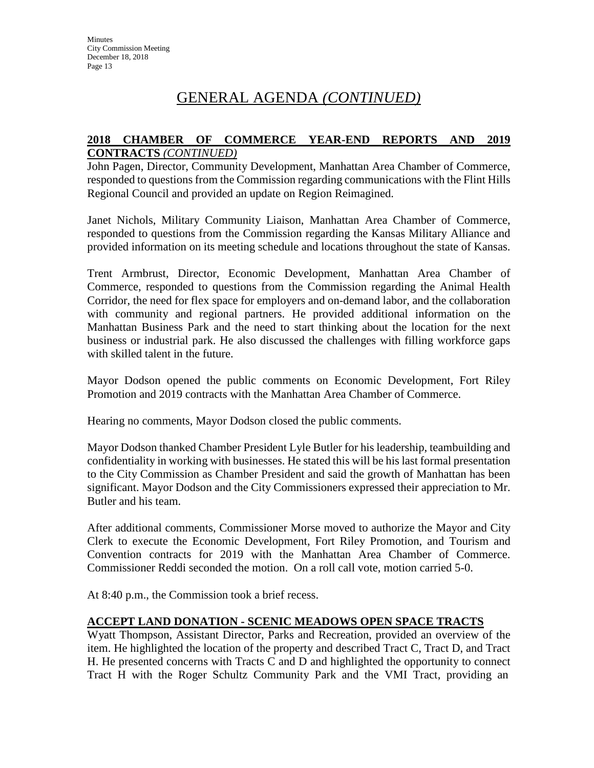### **2018 CHAMBER OF COMMERCE YEAR-END REPORTS AND 2019 CONTRACTS** *(CONTINUED)*

John Pagen, Director, Community Development, Manhattan Area Chamber of Commerce, responded to questions from the Commission regarding communications with the Flint Hills Regional Council and provided an update on Region Reimagined.

Janet Nichols, Military Community Liaison, Manhattan Area Chamber of Commerce, responded to questions from the Commission regarding the Kansas Military Alliance and provided information on its meeting schedule and locations throughout the state of Kansas.

Trent Armbrust, Director, Economic Development, Manhattan Area Chamber of Commerce, responded to questions from the Commission regarding the Animal Health Corridor, the need for flex space for employers and on-demand labor, and the collaboration with community and regional partners. He provided additional information on the Manhattan Business Park and the need to start thinking about the location for the next business or industrial park. He also discussed the challenges with filling workforce gaps with skilled talent in the future.

Mayor Dodson opened the public comments on Economic Development, Fort Riley Promotion and 2019 contracts with the Manhattan Area Chamber of Commerce.

Hearing no comments, Mayor Dodson closed the public comments.

Mayor Dodson thanked Chamber President Lyle Butler for his leadership, teambuilding and confidentiality in working with businesses. He stated this will be his last formal presentation to the City Commission as Chamber President and said the growth of Manhattan has been significant. Mayor Dodson and the City Commissioners expressed their appreciation to Mr. Butler and his team.

After additional comments, Commissioner Morse moved to authorize the Mayor and City Clerk to execute the Economic Development, Fort Riley Promotion, and Tourism and Convention contracts for 2019 with the Manhattan Area Chamber of Commerce. Commissioner Reddi seconded the motion. On a roll call vote, motion carried 5-0.

At 8:40 p.m., the Commission took a brief recess.

# **ACCEPT LAND DONATION - SCENIC MEADOWS OPEN SPACE TRACTS**

Wyatt Thompson, Assistant Director, Parks and Recreation, provided an overview of the item. He highlighted the location of the property and described Tract C, Tract D, and Tract H. He presented concerns with Tracts C and D and highlighted the opportunity to connect Tract H with the Roger Schultz Community Park and the VMI Tract, providing an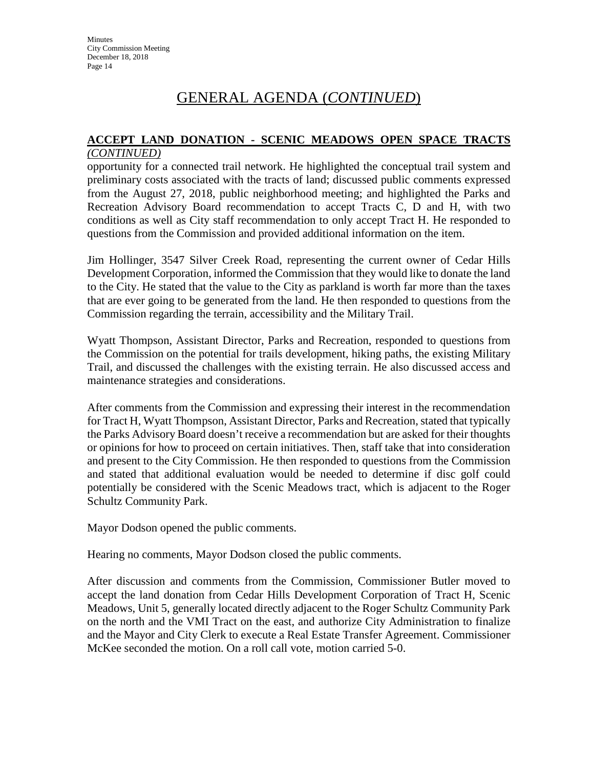#### **ACCEPT LAND DONATION - SCENIC MEADOWS OPEN SPACE TRACTS** *(CONTINUED)*

opportunity for a connected trail network. He highlighted the conceptual trail system and preliminary costs associated with the tracts of land; discussed public comments expressed from the August 27, 2018, public neighborhood meeting; and highlighted the Parks and Recreation Advisory Board recommendation to accept Tracts C, D and H, with two conditions as well as City staff recommendation to only accept Tract H. He responded to questions from the Commission and provided additional information on the item.

Jim Hollinger, 3547 Silver Creek Road, representing the current owner of Cedar Hills Development Corporation, informed the Commission that they would like to donate the land to the City. He stated that the value to the City as parkland is worth far more than the taxes that are ever going to be generated from the land. He then responded to questions from the Commission regarding the terrain, accessibility and the Military Trail.

Wyatt Thompson, Assistant Director, Parks and Recreation, responded to questions from the Commission on the potential for trails development, hiking paths, the existing Military Trail, and discussed the challenges with the existing terrain. He also discussed access and maintenance strategies and considerations.

After comments from the Commission and expressing their interest in the recommendation for Tract H, Wyatt Thompson, Assistant Director, Parks and Recreation, stated that typically the Parks Advisory Board doesn't receive a recommendation but are asked for their thoughts or opinions for how to proceed on certain initiatives. Then, staff take that into consideration and present to the City Commission. He then responded to questions from the Commission and stated that additional evaluation would be needed to determine if disc golf could potentially be considered with the Scenic Meadows tract, which is adjacent to the Roger Schultz Community Park.

Mayor Dodson opened the public comments.

Hearing no comments, Mayor Dodson closed the public comments.

After discussion and comments from the Commission, Commissioner Butler moved to accept the land donation from Cedar Hills Development Corporation of Tract H, Scenic Meadows, Unit 5, generally located directly adjacent to the Roger Schultz Community Park on the north and the VMI Tract on the east, and authorize City Administration to finalize and the Mayor and City Clerk to execute a Real Estate Transfer Agreement. Commissioner McKee seconded the motion. On a roll call vote, motion carried 5-0.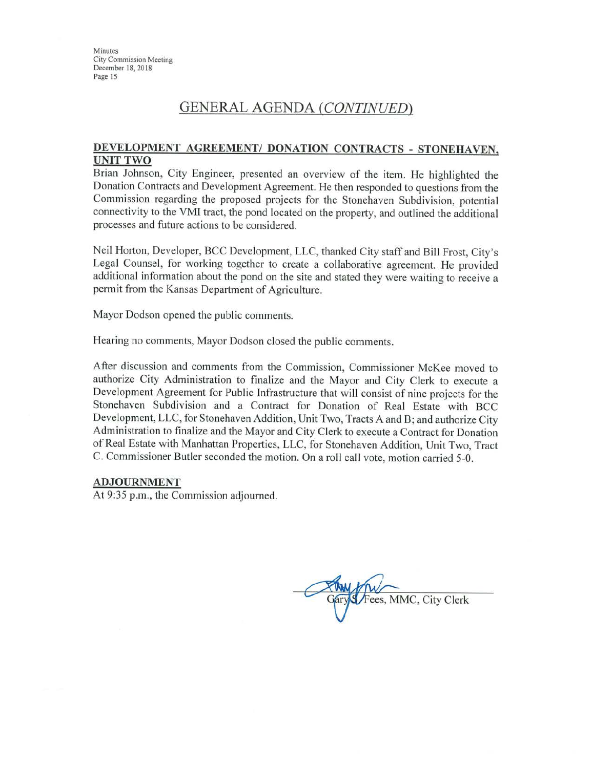# **GENERAL AGENDA (CONTINUED)**

#### DEVELOPMENT AGREEMENT/ DONATION CONTRACTS - STONEHAVEN, **UNIT TWO**

Brian Johnson, City Engineer, presented an overview of the item. He highlighted the Donation Contracts and Development Agreement. He then responded to questions from the Commission regarding the proposed projects for the Stonehaven Subdivision, potential connectivity to the VMI tract, the pond located on the property, and outlined the additional processes and future actions to be considered.

Neil Horton, Developer, BCC Development, LLC, thanked City staff and Bill Frost, City's Legal Counsel, for working together to create a collaborative agreement. He provided additional information about the pond on the site and stated they were waiting to receive a permit from the Kansas Department of Agriculture.

Mayor Dodson opened the public comments.

Hearing no comments, Mayor Dodson closed the public comments.

After discussion and comments from the Commission, Commissioner McKee moved to authorize City Administration to finalize and the Mayor and City Clerk to execute a Development Agreement for Public Infrastructure that will consist of nine projects for the Stonehaven Subdivision and a Contract for Donation of Real Estate with BCC Development, LLC, for Stonehaven Addition, Unit Two, Tracts A and B; and authorize City Administration to finalize and the Mayor and City Clerk to execute a Contract for Donation of Real Estate with Manhattan Properties, LLC, for Stonehaven Addition, Unit Two, Tract C. Commissioner Butler seconded the motion. On a roll call vote, motion carried 5-0.

#### **ADJOURNMENT**

At 9:35 p.m., the Commission adjourned.

ary S / Fees, MMC, City Clerk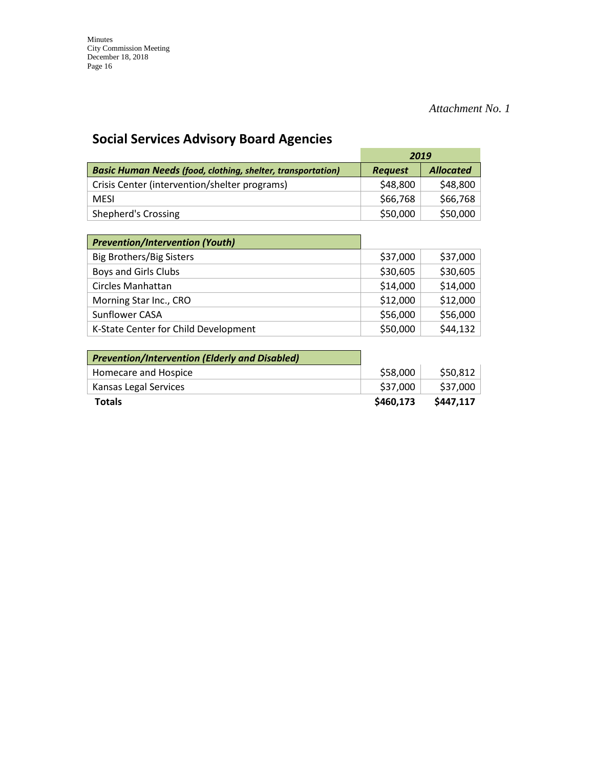# *Attachment No. 1*

# **Social Services Advisory Board Agencies**

|                                                                    | 2019           |                  |
|--------------------------------------------------------------------|----------------|------------------|
| <b>Basic Human Needs (food, clothing, shelter, transportation)</b> | <b>Request</b> | <b>Allocated</b> |
| Crisis Center (intervention/shelter programs)                      | \$48,800       | \$48,800         |
| <b>MFSI</b>                                                        | \$66,768       | \$66,768         |
| Shepherd's Crossing                                                | \$50,000       | \$50,000         |

| <b>Prevention/Intervention (Youth)</b> |          |          |
|----------------------------------------|----------|----------|
| <b>Big Brothers/Big Sisters</b>        | \$37,000 | \$37,000 |
| Boys and Girls Clubs                   | \$30,605 | \$30,605 |
| Circles Manhattan                      | \$14,000 | \$14,000 |
| Morning Star Inc., CRO                 | \$12,000 | \$12,000 |
| <b>Sunflower CASA</b>                  | \$56,000 | \$56,000 |
| K-State Center for Child Development   | \$50,000 | \$44,132 |

| <b>Prevention/Intervention (Elderly and Disabled)</b> |           |           |
|-------------------------------------------------------|-----------|-----------|
| Homecare and Hospice                                  | \$58,000  | \$50,812  |
| Kansas Legal Services                                 | \$37,000  | \$37,000  |
| <b>Totals</b>                                         | \$460,173 | \$447.117 |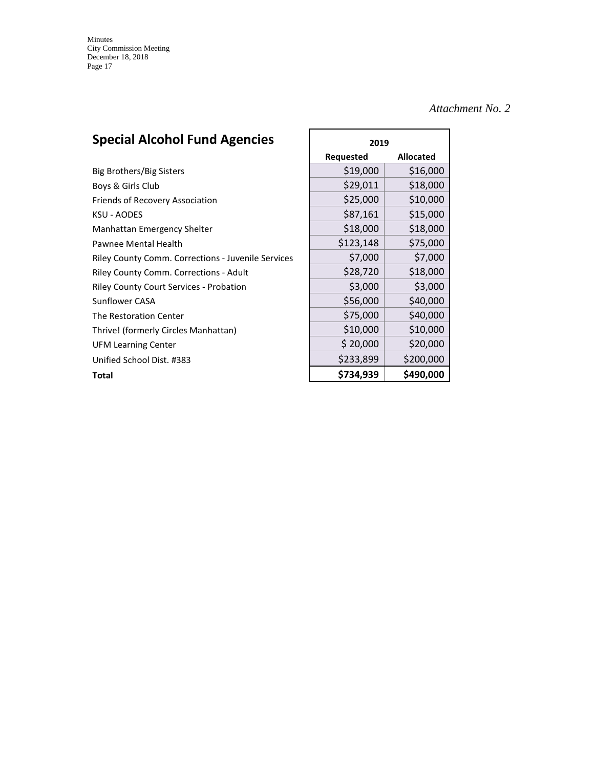# *Attachment No. 2*

# **Special Alcohol Fund Agencies** 2019

|                                                           | <b>Requested</b> | <b>Allocated</b> |
|-----------------------------------------------------------|------------------|------------------|
| Big Brothers/Big Sisters                                  | \$19,000         | \$16,000         |
| Boys & Girls Club                                         | \$29,011         | \$18,000         |
| Friends of Recovery Association                           | \$25,000         | \$10,000         |
| <b>KSU - AODES</b>                                        | \$87,161         | \$15,000         |
| Manhattan Emergency Shelter                               | \$18,000         | \$18,000         |
| Pawnee Mental Health                                      | \$123,148        | \$75,000         |
| <b>Riley County Comm. Corrections - Juvenile Services</b> | \$7,000          | \$7,000          |
| <b>Riley County Comm. Corrections - Adult</b>             | \$28,720         | \$18,000         |
| <b>Riley County Court Services - Probation</b>            | \$3,000          | \$3,000          |
| Sunflower CASA                                            | \$56,000         | \$40,000         |
| The Restoration Center                                    | \$75,000         | \$40,000         |
| Thrive! (formerly Circles Manhattan)                      | \$10,000         | \$10,000         |
| <b>UFM Learning Center</b>                                | \$20,000         | \$20,000         |
| Unified School Dist. #383                                 | \$233,899        | \$200,000        |
| Total                                                     | \$734,939        | \$490,000        |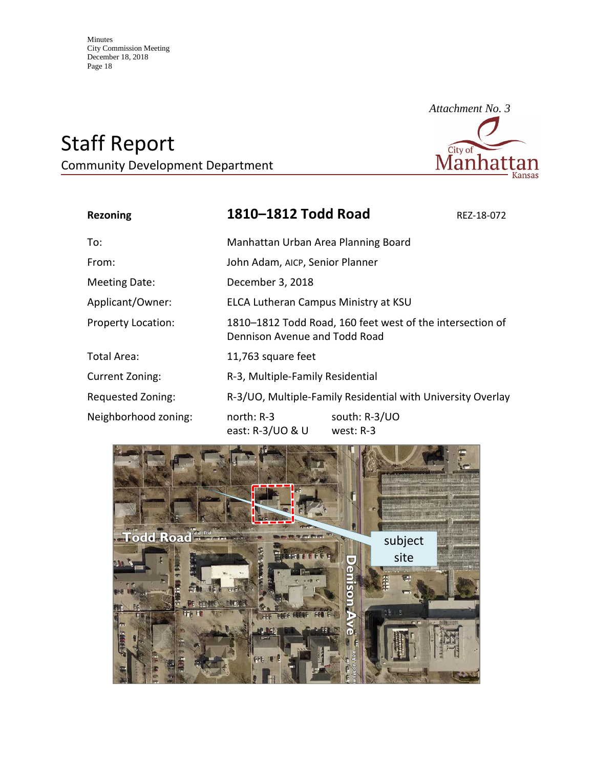# Staff Report

Community Development Department



| <b>Rezoning</b>           | 1810-1812 Todd Road                                                                        |                              | REZ-18-072 |
|---------------------------|--------------------------------------------------------------------------------------------|------------------------------|------------|
| To:                       | Manhattan Urban Area Planning Board                                                        |                              |            |
| From:                     | John Adam, AICP, Senior Planner                                                            |                              |            |
| <b>Meeting Date:</b>      | December 3, 2018                                                                           |                              |            |
| Applicant/Owner:          | ELCA Lutheran Campus Ministry at KSU                                                       |                              |            |
| <b>Property Location:</b> | 1810-1812 Todd Road, 160 feet west of the intersection of<br>Dennison Avenue and Todd Road |                              |            |
| Total Area:               | 11,763 square feet                                                                         |                              |            |
| <b>Current Zoning:</b>    | R-3, Multiple-Family Residential                                                           |                              |            |
| Requested Zoning:         | R-3/UO, Multiple-Family Residential with University Overlay                                |                              |            |
| Neighborhood zoning:      | north: $R-3$<br>east: R-3/UO & U                                                           | south: R-3/UO<br>west: $R-3$ |            |

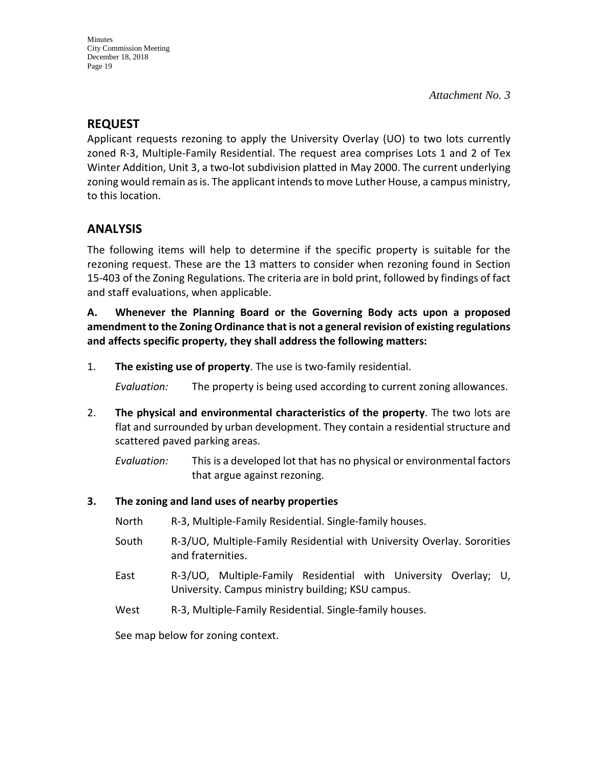# **REQUEST**

Applicant requests rezoning to apply the University Overlay (UO) to two lots currently zoned R-3, Multiple-Family Residential. The request area comprises Lots 1 and 2 of Tex Winter Addition, Unit 3, a two-lot subdivision platted in May 2000. The current underlying zoning would remain as is. The applicant intends to move Luther House, a campus ministry, to this location.

# **ANALYSIS**

The following items will help to determine if the specific property is suitable for the rezoning request. These are the 13 matters to consider when rezoning found in Section 15-403 of the Zoning Regulations. The criteria are in bold print, followed by findings of fact and staff evaluations, when applicable.

**A. Whenever the Planning Board or the Governing Body acts upon a proposed amendment to the Zoning Ordinance that is not a general revision of existing regulations and affects specific property, they shall address the following matters:**

1. **The existing use of property**. The use is two-family residential.

*Evaluation:* The property is being used according to current zoning allowances.

2. **The physical and environmental characteristics of the property**. The two lots are flat and surrounded by urban development. They contain a residential structure and scattered paved parking areas.

*Evaluation:* This is a developed lot that has no physical or environmental factors that argue against rezoning.

# **3. The zoning and land uses of nearby properties**

- North R-3, Multiple-Family Residential. Single-family houses.
- South R-3/UO, Multiple-Family Residential with University Overlay. Sororities and fraternities.
- East R-3/UO, Multiple-Family Residential with University Overlay; U, University. Campus ministry building; KSU campus.
- West R-3, Multiple-Family Residential. Single-family houses.

See map below for zoning context.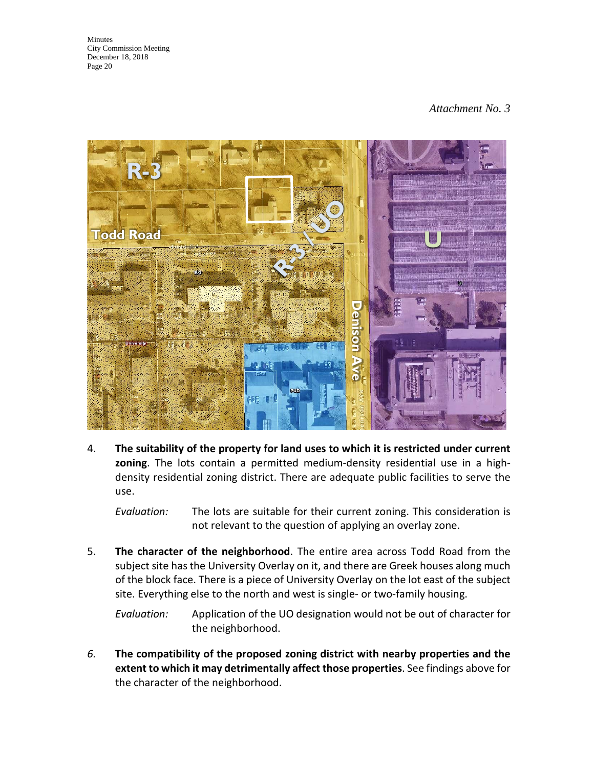# *Attachment No. 3*



4. **The suitability of the property for land uses to which it is restricted under current zoning**. The lots contain a permitted medium-density residential use in a highdensity residential zoning district. There are adequate public facilities to serve the use.

*Evaluation:* The lots are suitable for their current zoning. This consideration is not relevant to the question of applying an overlay zone.

5. **The character of the neighborhood**. The entire area across Todd Road from the subject site has the University Overlay on it, and there are Greek houses along much of the block face. There is a piece of University Overlay on the lot east of the subject site. Everything else to the north and west is single- or two-family housing.

*Evaluation:* Application of the UO designation would not be out of character for the neighborhood.

*6.* **The compatibility of the proposed zoning district with nearby properties and the extent to which it may detrimentally affect those properties**. See findings above for the character of the neighborhood.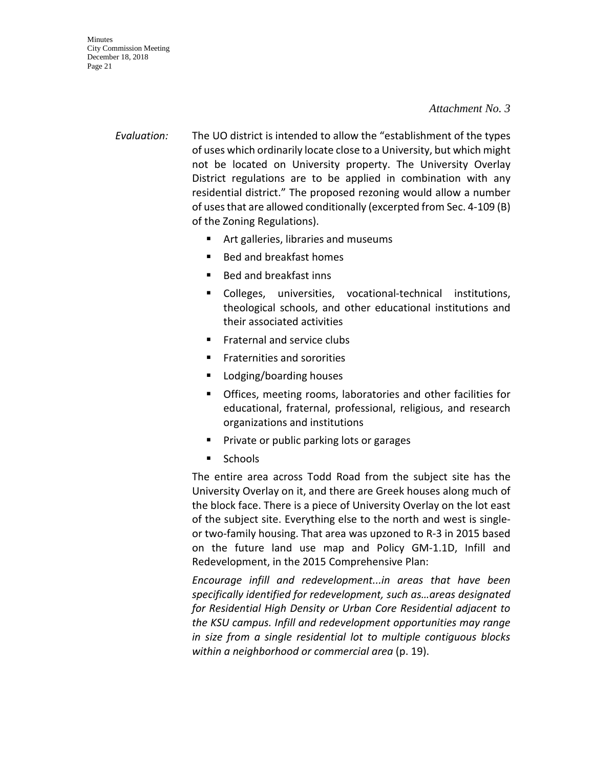#### *Attachment No. 3*

- *Evaluation:* The UO district is intended to allow the "establishment of the types of uses which ordinarily locate close to a University, but which might not be located on University property. The University Overlay District regulations are to be applied in combination with any residential district." The proposed rezoning would allow a number of uses that are allowed conditionally (excerpted from Sec. 4-109 (B) of the Zoning Regulations).
	- **F** Art galleries, libraries and museums
	- Bed and breakfast homes
	- Bed and breakfast inns
	- Colleges, universities, vocational-technical institutions, theological schools, and other educational institutions and their associated activities
	- Fraternal and service clubs
	- **Fraternities and sororities**
	- Lodging/boarding houses
	- Offices, meeting rooms, laboratories and other facilities for educational, fraternal, professional, religious, and research organizations and institutions
	- **Private or public parking lots or garages**
	- **Schools**

The entire area across Todd Road from the subject site has the University Overlay on it, and there are Greek houses along much of the block face. There is a piece of University Overlay on the lot east of the subject site. Everything else to the north and west is singleor two-family housing. That area was upzoned to R-3 in 2015 based on the future land use map and Policy GM-1.1D, Infill and Redevelopment, in the 2015 Comprehensive Plan:

*Encourage infill and redevelopment...in areas that have been specifically identified for redevelopment, such as…areas designated for Residential High Density or Urban Core Residential adjacent to the KSU campus. Infill and redevelopment opportunities may range in size from a single residential lot to multiple contiguous blocks within a neighborhood or commercial area* (p. 19).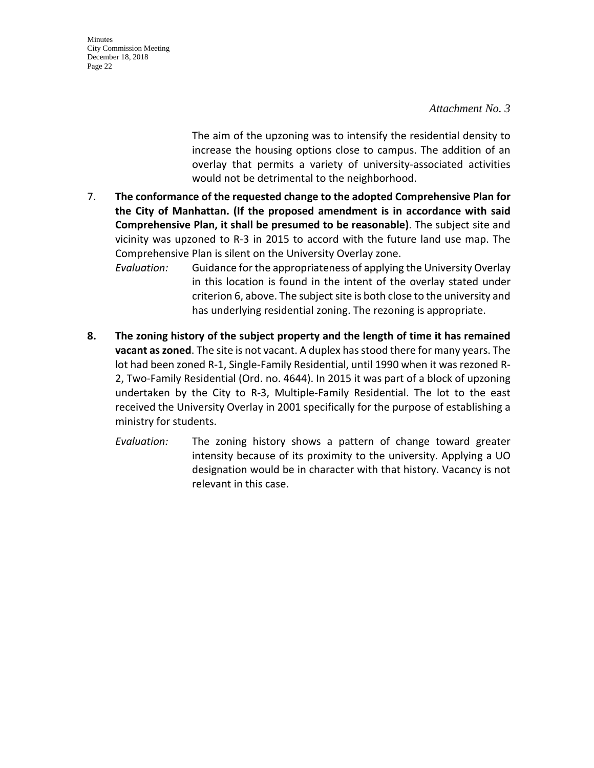*Attachment No. 3*

The aim of the upzoning was to intensify the residential density to increase the housing options close to campus. The addition of an overlay that permits a variety of university-associated activities would not be detrimental to the neighborhood.

7. **The conformance of the requested change to the adopted Comprehensive Plan for the City of Manhattan. (If the proposed amendment is in accordance with said Comprehensive Plan, it shall be presumed to be reasonable)**. The subject site and vicinity was upzoned to R-3 in 2015 to accord with the future land use map. The Comprehensive Plan is silent on the University Overlay zone.

*Evaluation:* Guidance for the appropriateness of applying the University Overlay in this location is found in the intent of the overlay stated under criterion 6, above. The subject site is both close to the university and has underlying residential zoning. The rezoning is appropriate.

- **8. The zoning history of the subject property and the length of time it has remained vacant as zoned**. The site is not vacant. A duplex has stood there for many years. The lot had been zoned R-1, Single-Family Residential, until 1990 when it was rezoned R-2, Two-Family Residential (Ord. no. 4644). In 2015 it was part of a block of upzoning undertaken by the City to R-3, Multiple-Family Residential. The lot to the east received the University Overlay in 2001 specifically for the purpose of establishing a ministry for students.
	- *Evaluation:* The zoning history shows a pattern of change toward greater intensity because of its proximity to the university. Applying a UO designation would be in character with that history. Vacancy is not relevant in this case.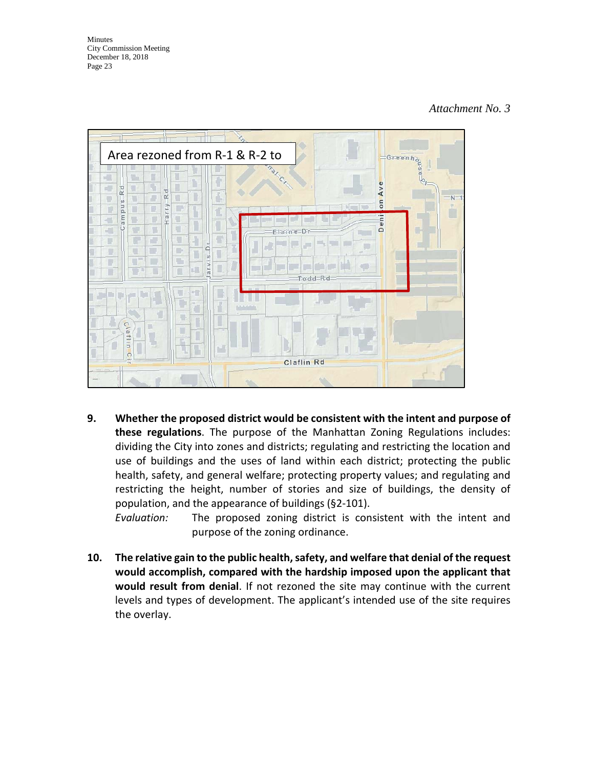#### *Attachment No. 3*



**9. Whether the proposed district would be consistent with the intent and purpose of these regulations**. The purpose of the Manhattan Zoning Regulations includes: dividing the City into zones and districts; regulating and restricting the location and use of buildings and the uses of land within each district; protecting the public health, safety, and general welfare; protecting property values; and regulating and restricting the height, number of stories and size of buildings, the density of population, and the appearance of buildings (§2-101).

*Evaluation:* The proposed zoning district is consistent with the intent and purpose of the zoning ordinance.

**10. The relative gain to the public health, safety, and welfare that denial of the request would accomplish, compared with the hardship imposed upon the applicant that would result from denial**. If not rezoned the site may continue with the current levels and types of development. The applicant's intended use of the site requires the overlay.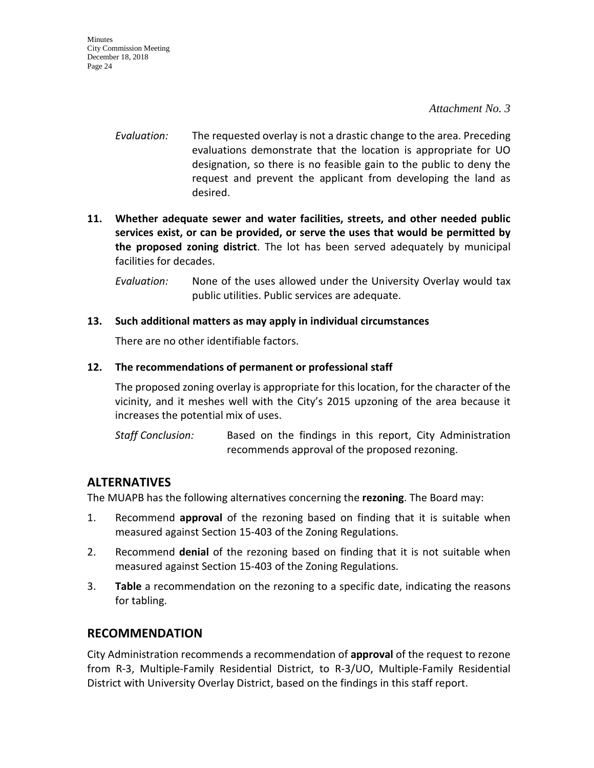#### *Attachment No. 3*

- *Evaluation:* The requested overlay is not a drastic change to the area. Preceding evaluations demonstrate that the location is appropriate for UO designation, so there is no feasible gain to the public to deny the request and prevent the applicant from developing the land as desired.
- **11. Whether adequate sewer and water facilities, streets, and other needed public services exist, or can be provided, or serve the uses that would be permitted by the proposed zoning district**. The lot has been served adequately by municipal facilities for decades.

*Evaluation:* None of the uses allowed under the University Overlay would tax public utilities. Public services are adequate.

#### **13. Such additional matters as may apply in individual circumstances**

There are no other identifiable factors.

#### **12. The recommendations of permanent or professional staff**

The proposed zoning overlay is appropriate for this location, for the character of the vicinity, and it meshes well with the City's 2015 upzoning of the area because it increases the potential mix of uses.

*Staff Conclusion:* Based on the findings in this report, City Administration recommends approval of the proposed rezoning.

# **ALTERNATIVES**

The MUAPB has the following alternatives concerning the **rezoning**. The Board may:

- 1. Recommend **approval** of the rezoning based on finding that it is suitable when measured against Section 15-403 of the Zoning Regulations.
- 2. Recommend **denial** of the rezoning based on finding that it is not suitable when measured against Section 15-403 of the Zoning Regulations.
- 3. **Table** a recommendation on the rezoning to a specific date, indicating the reasons for tabling.

# **RECOMMENDATION**

City Administration recommends a recommendation of **approval** of the request to rezone from R-3, Multiple-Family Residential District, to R-3/UO, Multiple-Family Residential District with University Overlay District, based on the findings in this staff report.